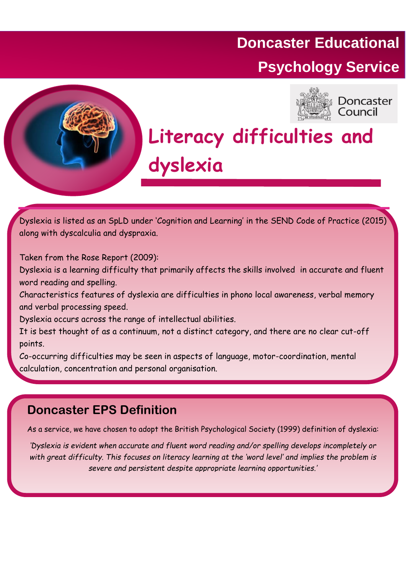# **Doncaster Educational Psychology Service**



Doncaster Council

# **Literacy difficulties and dyslexia**

Dyslexia is listed as an SpLD under 'Cognition and Learning' in the SEND Code of Practice (2015) along with dyscalculia and dyspraxia.

Taken from the Rose Report (2009):

Dyslexia is a learning difficulty that primarily affects the skills involved in accurate and fluent word reading and spelling.

Characteristics features of dyslexia are difficulties in phono local awareness, verbal memory and verbal processing speed.

Dyslexia occurs across the range of intellectual abilities.

It is best thought of as a continuum, not a distinct category, and there are no clear cut-off points.

Co-occurring difficulties may be seen in aspects of language, motor-coordination, mental calculation, concentration and personal organisation.

## **Doncaster EPS Definition**

As a service, we have chosen to adopt the British Psychological Society (1999) definition of dyslexia:

*'Dyslexia is evident when accurate and fluent word reading and/or spelling develops incompletely or with great difficulty. This focuses on literacy learning at the 'word level' and implies the problem is severe and persistent despite appropriate learning opportunities.'*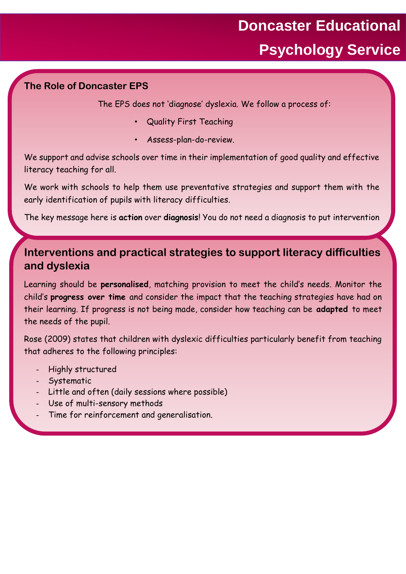#### **The Role of Doncaster EPS**

The EPS does not 'diagnose' dyslexia. We follow a process of:

- Quality First Teaching
- Assess-plan-do-review.

We support and advise schools over time in their implementation of good quality and effective literacy teaching for all.

We work with schools to help them use preventative strategies and support them with the early identification of pupils with literacy difficulties.

The key message here is **action** over **diagnosis**! You do not need a diagnosis to put intervention

### **Interventions and practical strategies to support literacy difficulties and dyslexia**

Learning should be **personalised**, matching provision to meet the child's needs. Monitor the child's **progress over time** and consider the impact that the teaching strategies have had on their learning. If progress is not being made, consider how teaching can be **adapted** to meet the needs of the pupil.

Rose (2009) states that children with dyslexic difficulties particularly benefit from teaching that adheres to the following principles:

- Highly structured
- Systematic

in place.

- Little and often (daily sessions where possible)
- Use of multi-sensory methods
- Time for reinforcement and generalisation.